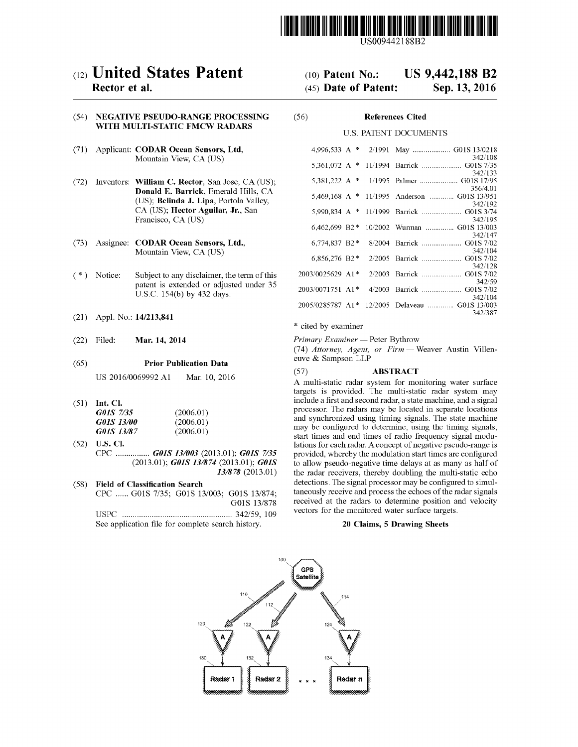

US009442188B2

## c12) **United States Patent**

#### **Rector et al.**

#### (54) **NEGATIVE PSEUDO-RANGE PROCESSING WITH MULTI-STATIC FMCW RADARS**

- (71) Applicant: **CODAR Ocean Sensors, Ltd,**  Mountain View, CA (US)
- (72) Inventors: **William C. Rector,** San Jose, CA (US); **Donald E. Barrick,** Emerald Hills, CA (US); **Belinda J. Lipa,** Portola Valley, CA (US); **Hector Aguilar, Jr.,** San Francisco, CA (US)
- (73) Assignee: **CODAR Ocean Sensors, Ltd.,**  Mountain View, CA (US)
- (\*) Notice: Subject to any disclaimer, the term of this patent is extended or adjusted under 35 U.S.C. 154(b) by 432 days.
- (21) Appl. No.: **14/213,841**
- (22) Filed: **Mar. 14, 2014**

#### (65) **Prior Publication Data**

US 2016/0069992 Al Mar. 10, 2016

(51) **Int. Cl.** 

| G01S 7/35                | (2006.01) |
|--------------------------|-----------|
| <i><b>G01S 13/00</b></i> | (2006.01) |
| <i>G01S 13/87</i>        | (2006.01) |

- (52) **U.S. Cl.**  CPC ................ *GOlS 131003* (2013.01); *GOlS 7135*  (2013.01); *GOlS 131874* (2013.01); *GOlS 131878* (2013.01)
- (58) **Field of Classification Search**  CPC ...... GOlS 7/35; GOlS 13/003; GOlS 13/874; G01S 13/878 USPC .................................................... 342/59, 109 See application file for complete search history.

# (10) **Patent No.: US 9,442,188 B2**

## (45) **Date of Patent: Sep.13,2016**

### (56) **References Cited**

#### U.S. PATENT DOCUMENTS

| 4.996.533 A      | ∗ | 2/1991  |                                                  |
|------------------|---|---------|--------------------------------------------------|
| 5.361.072 A      |   |         | 342/108<br>* 11/1994 Barrick  G01S 7/35          |
| 5,381,222 A $*$  |   |         | 342/133<br>1/1995 Palmer  G01S 17/95<br>356/4.01 |
| 5,469,168 A $*$  |   |         | 11/1995 Anderson  G01S 13/951<br>342/192         |
|                  |   |         | 342/195                                          |
| 6.462.699 B2 *   |   |         | 10/2002 Wurman  G01S 13/003<br>342/147           |
| 6,774,837 B2 *   |   |         | 8/2004 Barrick  G01S 7/02<br>342/104             |
| 6,856,276 B2 $*$ |   |         | 342/128                                          |
| 2003/0025629 A1* |   |         | 2/2003 Barrick  G01S 7/02                        |
| 2003/0071751 A1* |   | 4/2003  | 342/59<br>Barrick  G01S 7/02                     |
| 2005/0285787 A1* |   | 12/2005 | 342/104<br>Delaveau  G01S 13/003                 |
|                  |   |         | 342/387                                          |

#### \* cited by examiner

*Primary Examiner* - Peter Bythrow

(74) *Attorney, Agent, or Firm* - Weaver Austin Villeneuve & Sampson LLP

#### (57) **ABSTRACT**

A multi-static radar system for monitoring water surface targets is provided. The multi-static radar system may include a first and second radar, a state machine, and a signal processor. The radars may be located in separate locations and synchronized using timing signals. The state machine may be configured to determine, using the timing signals, start times and end times of radio frequency signal modulations for each radar. A concept of negative pseudo-range is provided, whereby the modulation start times are configured to allow pseudo-negative time delays at as many as half of the radar receivers, thereby doubling the multi-static echo detections. The signal processor may be configured to simultaneously receive and process the echoes of the radar signals received at the radars to determine position and velocity vectors for the monitored water surface targets.

#### **20 Claims, 5 Drawing Sheets**

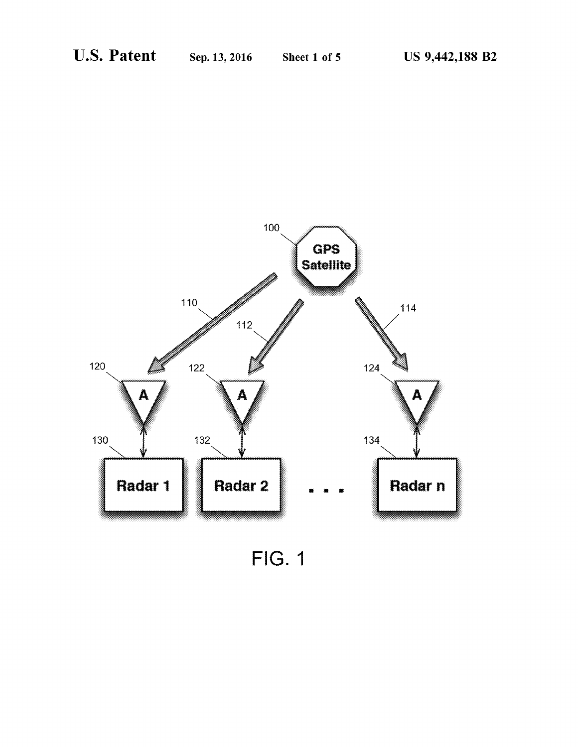

FIG. 1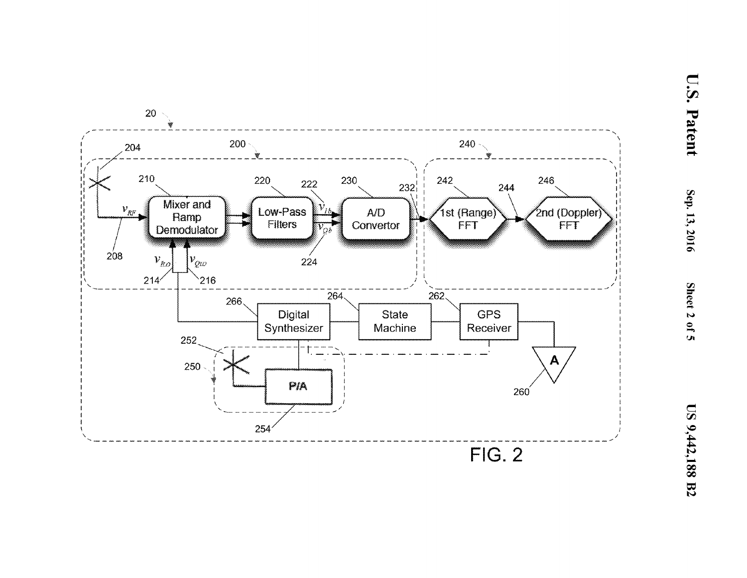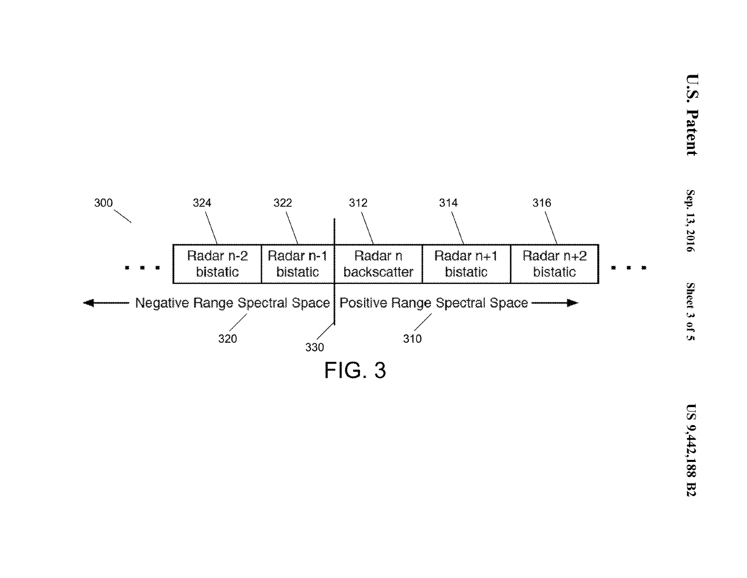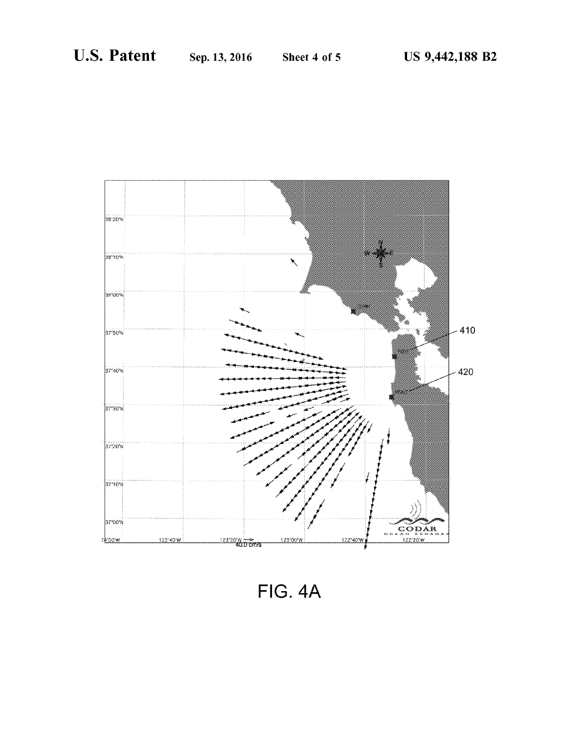

**FIG. 4A**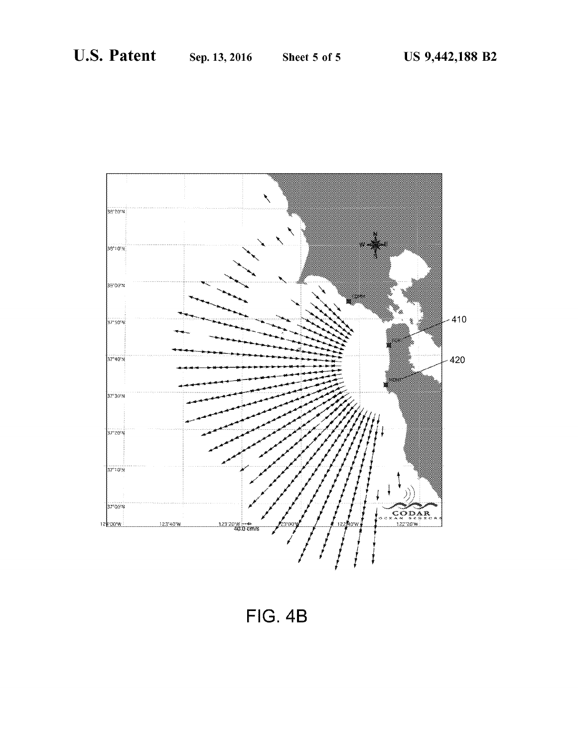

FIG. 4B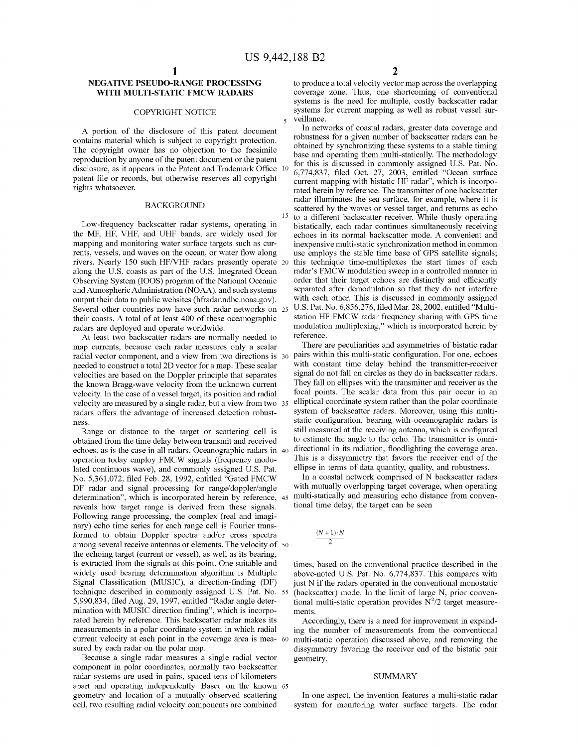#### **NEGATIVE PSEUDO-RANGE PROCESSING WITH MULTI-STATIC FMCW RADARS**

#### COPYRIGHT NOTICE

A portion of the disclosure of this patent document contains material which is subject to copyright protection. The copyright owner has no objection to the facsimile reproduction by anyone of the patent document or the patent disclosure, as it appears in the Patent and Trademark Office 10 patent file or records, but otherwise reserves all copyright rights whatsoever.

#### **BACKGROUND**

Low-frequency backscatter radar systems, operating in the MF, HF, VHF, and UHF bands, are widely used for mapping and monitoring water surface targets such as currents, vessels, and waves on the ocean, or water flow along rivers. Nearly 150 such HF/VHF radars presently operate 20 along the U.S. coasts as part of the U.S. Integrated Ocean Observing System (IOOS) program of the National Oceanic and Atmospheric Administration (NOAA), and such systems output their data to public websites (hfradar.ndbc.noaa.gov). Several other countries now have such radar networks on 25 their coasts. A total of at least 400 of these oceanographic radars are deployed and operate worldwide.

At least two backscatter radars are normally needed to map currents, because each radar measures only a scalar radial vector component, and a view from two directions is 30 needed to construct a total 2D vector for a map. These scalar velocities are based on the Doppler principle that separates the known Bragg-wave velocity from the unknown current velocity. In the case of a vessel target, its position and radial velocity are measured by a single radar, but a view from two 35 radars offers the advantage of increased detection robustness.

Range or distance to the target or scattering cell is obtained from the time delay between transmit and received echoes, as is the case in all radars. Oceanographic radars in operation today employ FMCW signals (frequency modulated continuous wave), and commonly assigned U.S. Pat. No. 5,361,072, filed Feb. 28, 1992, entitled "Gated FMCW DF radar and signal processing for range/doppler/angle determination", which is incorporated herein by reference, 45 reveals how target range is derived from these signals. Following range processing, the complex (real and imaginary) echo time series for each range cell is Fourier transformed to obtain Doppler spectra and/or cross spectra among several receive antennas or elements. The velocity of 50 the echoing target (current or vessel), as well as its bearing, is extracted from the signals at this point. One suitable and widely used bearing determination algorithm is Multiple Signal Classification (MUSIC), a direction-finding (DF) technique described in commonly assigned U.S. Pat. No. 55 5,990,834, filed Aug. 29, 1997, entitled "Radar angle determination with MUSIC direction finding", which is incorporated herein by reference. This backscatter radar makes its measurements in a polar coordinate system in which radial current velocity at each point in the coverage area is mea- 60 sured by each radar on the polar map.

Because a single radar measures a single radial vector component in polar coordinates, normally two backscatter radar systems are used in pairs, spaced tens of kilometers apart and operating independently. Based on the known 65 geometry and location of a mutually observed scattering cell, two resulting radial velocity components are combined

to produce a total velocity vector map across the overlapping coverage zone. Thus, one shortcoming of conventional systems is the need for multiple, costly backscatter radar systems for current mapping as well as robust vessel surveillance.

In networks of coastal radars, greater data coverage and robustness for a given number of backscatter radars can be obtained by synchronizing these systems to a stable timing base and operating them multi-statically. The methodology for this is discussed in commonly assigned U.S. Pat. No. 6,774,837, filed Oct. 27, 2003, entitled "Ocean surface current mapping with bistatic HF radar", which is incorporated herein by reference. The transmitter of one backscatter radar illuminates the sea surface, for example, where it is scattered by the waves or vessel target, and returns as echo <sup>15</sup> to a different backscatter receiver. While thusly operating bistatically, each radar continues simultaneously receiving echoes in its normal backscatter mode. A convenient and inexpensive multi-static synchronization method in common use employs the stable time base of GPS satellite signals; this technique time-multiplexes the start times of each radar's FMCW modulation sweep in a controlled manner in order that their target echoes are distinctly and efficiently separated after demodulation so that they do not interfere with each other. This is discussed in commonly assigned U.S. Pat. No. 6,856,276, filed Mar. 28, 2002, entitled "Multistation HF FMCW radar frequency sharing with GPS time modulation multiplexing," which is incorporated herein by reference.

There are peculiarities and asymmetries of bistatic radar pairs within this multi-static configuration. For one, echoes with constant time delay behind the transmitter-receiver signal do not fall on circles as they do in backscatter radars. They fall on ellipses with the transmitter and receiver as the focal points. The scalar data from this pair occur in an elliptical coordinate system rather than the polar coordinate system of backscatter radars. Moreover, using this multistatic configuration, bearing with oceanographic radars is still measured at the receiving antenna, which is configured to estimate the angle to the echo. The transmitter is omnidirectional in its radiation, floodlighting the coverage area. This is a dissymmetry that favors the receiver end of the ellipse in terms of data quantity, quality, and robustness.

In a coastal network comprised of N backscatter radars with mutually overlapping target coverage, when operating multi-statically and measuring echo distance from conventional time delay, the target can be seen

$$
\frac{(N+1)\cdot N}{2}
$$

times, based on the conventional practice described in the above-noted U.S. Pat. No. 6,774,837. This compares with just N if the radars operated in the conventional monostatic (backscatter) mode. In the limit of large N, prior conventional multi-static operation provides  $N^2/2$  target measurements.

Accordingly, there is a need for improvement in expanding the number of measurements from the conventional multi-static operation discussed above, and removing the dissymmetry favoring the receiver end of the bistatic pair geometry.

#### SUMMARY

In one aspect, the invention features a multi-static radar system for monitoring water surface targets. The radar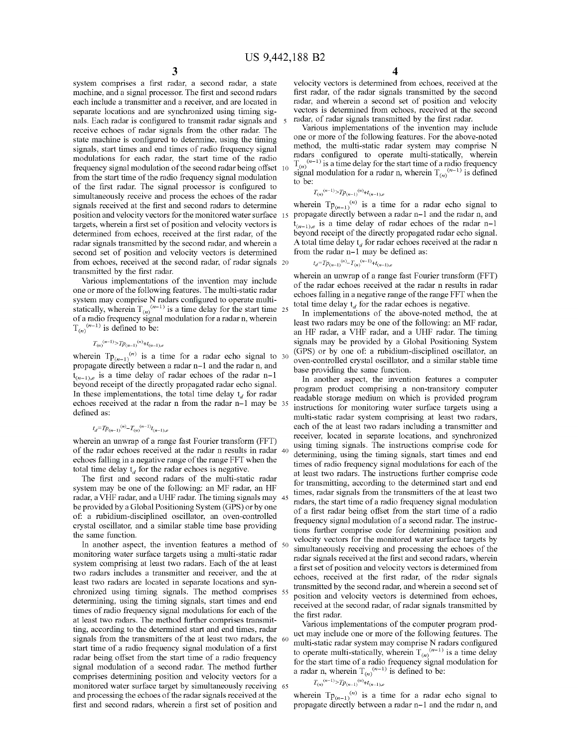system comprises a first radar, a second radar, a state machine, and a signal processor. The first and second radars each include a transmitter and a receiver, and are located in separate locations and are synchronized using timing signals. Each radar is configured to transmit radar signals and receive echoes of radar signals from the other radar. The state machine is configured to determine, using the timing signals, start times and end times of radio frequency signal modulations for each radar, the start time of the radio frequency signal modulation of the second radar being offset from the start time of the radio frequency signal modulation to be:<br>of the first radar. The signal processor is configured to to be: simultaneously receive and process the echoes of the radar signals received at the first and second radars to determine position and velocity vectors for the monitored water surface 15 targets, wherein a first set of position and velocity vectors is determined from echoes, received at the first radar, of the radar signals transmitted by the second radar, and wherein a second set of position and velocity vectors is determined from echoes, received at the second radar, of radar signals 20 transmitted by the first radar.

Various implementations of the invention may include one or more of the following features. The multi-static radar system may comprise N radars configured to operate multistatically, wherein  $T_{(n)}^{(n-1)}$  is a time delay for the start time 25 of a radio frequency signal modulation for a radar n, wherein  $T_{(n)}^{(n-1)}$  is defined to be:

$$
T_{(n)}^{(n-1)} > T p_{(n-1)}^{(n)} + t_{(n-1),e}
$$

wherein  $Tp_{(n-1)}^{(n)}$  is a time for a radar echo signal to 30 propagate directly between a radar n-1 and the radar n, and  $t_{(n-1),e}$  is a time delay of radar echoes of the radar n-1 beyond receipt of the directly propagated radar echo signal. In these implementations, the total time delay  $t_d$  for radar echoes received at the radar n from the radar n-1 may be defined as:

$$
t_d = T p_{(n-1)}^{(n)} - T_{(n)}^{(n-1)} t_{(n-1)}
$$

wherein an unwrap of a range fast Fourier transform (FFT) of the radar echoes received at the radar n results in radar echoes falling in a negative range of the range FFT when the total time delay  $t_d$  for the radar echoes is negative.

The first and second radars of the multi-static radar system may be one of the following: an MF radar, an HF radar, a VHF radar, and a UHF radar. The timing signals may be provided by a Global Positioning System (GPS) or by one of: a rubidium-disciplined oscillator, an oven-controlled crystal oscillator, and a similar stable time base providing the same function.

In another aspect, the invention features a method of 50 monitoring water surface targets using a multi-static radar system comprising at least two radars. Each of the at least two radars includes a transmitter and receiver, and the at least two radars are located in separate locations and synchronized using timing signals. The method comprises determining, using the timing signals, start times and end times of radio frequency signal modulations for each of the at least two radars. The method further comprises transmitting, according to the determined start and end times, radar signals from the transmitters of the at least two radars, the 60 start time of a radio frequency signal modulation of a first radar being offset from the start time of a radio frequency signal modulation of a second radar. The method further comprises determining position and velocity vectors for a monitored water surface target by simultaneously receiving 65 and processing the echoes of the radar signals received at the first and second radars, wherein a first set of position and

**4** 

velocity vectors is determined from echoes, received at the first radar, of the radar signals transmitted by the second radar, and wherein a second set of position and velocity vectors is determined from echoes, received at the second radar, of radar signals transmitted by the first radar.

Various implementations of the invention may include one or more of the following features. For the above-noted method, the multi-static radar system may comprise N radars configured to operate multi-statically, wherein  $T_{(n)}^{(n-1)}$  is a time delay for the start time of a radio frequency signal modulation for a radar n, wherein  $T_{(n)}^{(n-1)}$  is defined

$$
T_{(n)}^{(n-1)} > T p_{(n-1)}^{(n)} + t_{(n-1),e}
$$

wherein  $Tp_{(n-1)}^{(n)}$  is a time for a radar echo signal to propagate directly between a radar n-1 and the radar n, and  $t_{(n-1),e}$  is a time delay of radar echoes of the radar n-1 beyond receipt of the directly propagated radar echo signal. A total time delay  $t_d$  for radar echoes received at the radar n from the radar n-1 may be defined as:

$$
t_d = T p_{(n-1)}^{(n)} - T_{(n)}^{(n-1)} + t_{(n-1),e}
$$

wherein an unwrap of a range fast Fourier transform (FFT) of the radar echoes received at the radar n results in radar echoes falling in a negative range of the range FFT when the total time delay  $t_d$  for the radar echoes is negative.

In implementations of the above-noted method, the at least two radars may be one of the following: an MF radar, an HF radar, a VHF radar, and a UHF radar. The timing signals may be provided by a Global Positioning System (GPS) or by one of: a rubidium-disciplined oscillator, an oven-controlled crystal oscillator, and a similar stable time base providing the same function.

In another aspect, the invention features a computer program product comprising a non-transitory computer readable storage medium on which is provided program instructions for monitoring water surface targets using a multi-static radar system comprising at least two radars, each of the at least two radars including a transmitter and receiver, located in separate locations, and synchronized using timing signals. The instructions comprise code for determining, using the timing signals, start times and end times of radio frequency signal modulations for each of the at least two radars. The instructions further comprise code for transmitting, according to the determined start and end times, radar signals from the transmitters of the at least two radars, the start time of a radio frequency signal modulation of a first radar being offset from the start time of a radio frequency signal modulation of a second radar. The instructions further comprise code for determining position and velocity vectors for the monitored water surface targets by simultaneously receiving and processing the echoes of the radar signals received at the first and second radars, wherein a first set of position and velocity vectors is determined from echoes, received at the first radar, of the radar signals transmitted by the second radar, and wherein a second set of position and velocity vectors is determined from echoes, received at the second radar, of radar signals transmitted by the first radar.

Various implementations of the computer program product may include one or more of the following features. The multi-static radar system may comprise N radars configured to operate multi-statically, wherein  $T_{(n)}^{(n-1)}$  is a time delay for the start time of a radio frequency signal modulation for a radar n, wherein  $T_{(n)}^{(n-1)}$  is defined to be:

$$
T_{(n)}^{(n-1)} > T p_{(n-1)}^{(n)} + t_{(n-1),e}
$$

wherein  $Tp_{(n-1)}^{(n)}$  is a time for a radar echo signal to propagate directly between a radar n-1 and the radar n, and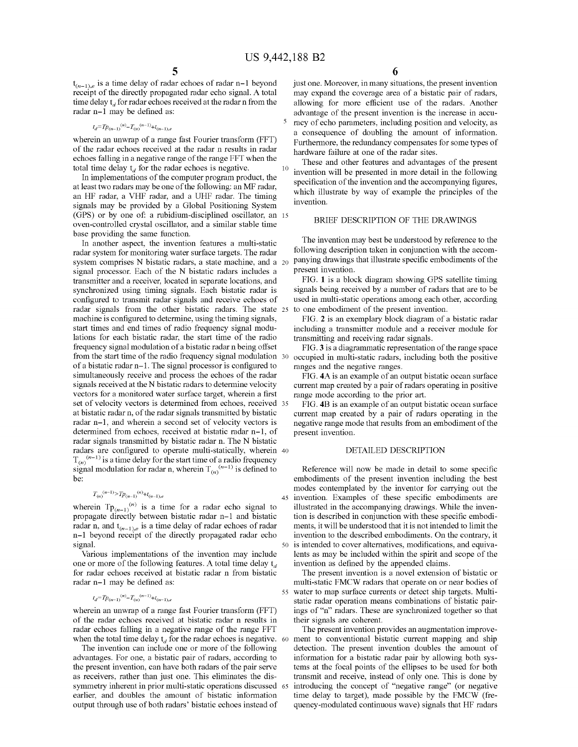$\sqrt{5}$ 

 $t_{(n-1),e}$  is a time delay of radar echoes of radar n-1 beyond receipt of the directly propagated radar echo signal. A total time delay  $t_d$  for radar echoes received at the radar n from the radar n-1 may be defined as:

$$
t_d = T p_{(n-1)}^{(n)} - T_{(n)}^{(n-1)} + t_{(n-1),e}
$$

wherein an unwrap of a range fast Fourier transform (FFT) of the radar echoes received at the radar n results in radar hardware failure at one of the radar sites. echoes falling in a negative range of the range FFT when the total time delay  $t_d$  for the radar echoes is negative.

In implementations of the computer program product, the at least two radars may be one of the following: an MF radar, at least two radars may be one of the following, an MP radar,<br>and HF radar, a VHF radar, and a UHF radar. The timing signals may be provided by a Global Positioning System (GPS) or by one of: a rubidium-disciplined oscillator, an 15 oven-controlled crystal oscillator, and a similar stable time base providing the same function.

In another aspect, the invention features a multi-static radar system for monitoring water surface targets. The radar system comprises N bistatic radars, a state machine, and a 20 signal processor. Each of the N bistatic radars includes a transmitter and a receiver, located in separate locations, and synchronized using timing signals. Each bistatic radar is configured to transmit radar signals and receive echoes of radar signals from the other bistatic radars. The state 25 machine is configured to determine, using the timing signals, start times and end times of radio frequency signal modulations for each bistatic radar, the start time of the radio frequency signal modulation of a bistatic radar n being offset from the start time of the radio frequency signal modulation 30 of a bistatic radar n-1. The signal processor is configured to simultaneously receive and process the echoes of the radar signals received at the N bistatic radars to determine velocity vectors for a monitored water surface target, wherein a first set of velocity vectors is determined from echoes, received 35 at bistatic radar n, of the radar signals transmitted by bistatic radar n-1, and wherein a second set of velocity vectors is determined from echoes, received at bistatic radar n-1, of radar signals transmitted by bistatic radar n. The N bistatic radars are configured to operate multi-statically, wherein 40  $T_{(n)}^{(n-1)}$  is a time delay for the start time of a radio frequency signal modulation for radar n, wherein  $T_{(n)}^{(n-1)}$  is defined to be:

$$
T_{(n)}^{(n-1)} > T p_{(n-1)}^{(n)} + t_{(n-1),e}
$$

wherein  $Tp_{(n-1)}^{(n)}$  is a time for a radar echo signal to propagate directly between bistatic radar n-1 and bistatic radar n, and  $t_{(n-1),e}$  is a time delay of radar echoes of radar n-1 beyond receipt of the directly propagated radar echo signal.

Various implementations of the invention may include one or more of the following features. A total time delay  $t_d$ for radar echoes received at bistatic radar n from bistatic radar n-1 may be defined as:

$$
t_d = T p_{(n-1)}^{(n)} - T_{(n)}^{(n-1)} + t_{(n-1),e}
$$

wherein an unwrap of a range fast Fourier transform (FFT) of the radar echoes received at bistatic radar n results in radar echoes falling in a negative range of the range FFT when the total time delay  $t_d$  for the radar echoes is negative. 60

The invention can include one or more of the following advantages. For one, a bistatic pair of radars, according to the present invention, can have both radars of the pair serve as receivers, rather than just one. This eliminates the dissymmetry inherent in prior multi-static operations discussed 65 earlier, and doubles the amount of bistatic information output through use of both radars' bistatic echoes instead of

just one. Moreover, in many situations, the present invention may expand the coverage area of a bistatic pair of radars, allowing for more efficient use of the radars. Another advantage of the present invention is the increase in accuracy of echo parameters, including position and velocity, as a consequence of doubling the amount of information. Furthermore, the redundancy compensates for some types of

These and other features and advantages of the present 10 invention will be presented in more detail in the following specification of the invention and the accompanying figures, invention.

#### BRIEF DESCRIPTION OF THE DRAWINGS

The invention may best be understood by reference to the following description taken in conjunction with the accompanying drawings that illustrate specific embodiments of the present invention.

FIG. **1** is a block diagram showing GPS satellite timing signals being received by a number of radars that are to be used in multi-static operations among each other, according to one embodiment of the present invention.

FIG. **2** is an exemplary block diagram of a bistatic radar including a transmitter module and a receiver module for transmitting and receiving radar signals.

FIG. **3** is a diagrammatic representation of the range space occupied in multi-static radars, including both the positive ranges and the negative ranges.

FIG. **4A** is an example of an output bistatic ocean surface current map created by a pair of radars operating in positive range mode according to the prior art.

FIG. **4B** is an example of an output bistatic ocean surface current map created by a pair of radars operating in the negative range mode that results from an embodiment of the present invention.

#### DETAILED DESCRIPTION

Reference will now be made in detail to some specific embodiments of the present invention including the best modes contemplated by the inventor for carrying out the 45 invention. Examples of these specific embodiments are illustrated in the accompanying drawings. While the invention is described in conjunction with these specific embodiments, it will be understood that it is not intended to limit the invention to the described embodiments. On the contrary, it 50 is intended to cover alternatives, modifications, and equivalents as may be included within the spirit and scope of the invention as defined by the appended claims.

The present invention is a novel extension of bistatic or multi-static FMCW radars that operate on or near bodies of 55 water to map surface currents or detect ship targets. Multistatic radar operation means combinations of bistatic pairings of "n" radars. These are synchronized together so that their signals are coherent.

The present invention provides an augmentation improvement to conventional bistatic current mapping and ship detection. The present invention doubles the amount of information for a bistatic radar pair by allowing both systems at the focal points of the ellipses to be used for both transmit and receive, instead of only one. This is done by introducing the concept of "negative range" (or negative time delay to target), made possible by the FMCW (frequency-modulated continuous wave) signals that HF radars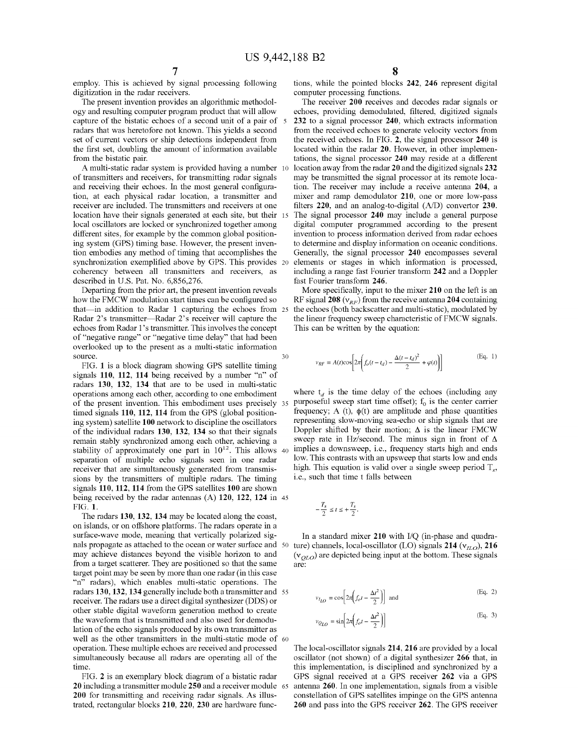employ. This is achieved by signal processing following digitization in the radar receivers.

The present invention provides an algorithmic methodology and resulting computer program product that will allow capture of the bistatic echoes of a second unit of a pair of 5 radars that was heretofore not known. This yields a second set of current vectors or ship detections independent from the first set, doubling the amount of information available from the bistatic pair.

A multi-static radar system is provided having a number 10 of transmitters and receivers, for transmitting radar signals and receiving their echoes. In the most general configuration, at each physical radar location, a transmitter and receiver are included. The transmitters and receivers at one location have their signals generated at each site, but their 15 local oscillators are locked or synchronized together among different sites, for example by the common global positioning system (GPS) timing base. However, the present invention embodies any method of timing that accomplishes the synchronization exemplified above by GPS. This provides 20 coherency between all transmitters and receivers, as described in U.S. Pat. No. 6,856,276.

Departing from the prior art, the present invention reveals how the FMCW modulation start times can be configured so that—in addition to Radar 1 capturing the echoes from  $25$ Radar 2's transmitter-Radar 2's receiver will capture the echoes from Radar 1 's transmitter. This involves the concept of "negative range" or "negative time delay" that had been overlooked up to the present as a multi-static information source. 30

FIG. **1** is a block diagram showing GPS satellite timing signals **110, 112, 114** being received by a number "n" of radars **130, 132, 134** that are to be used in multi-static operations among each other, according to one embodiment of the present invention. This embodiment uses precisely  $35$  purposeful sweep start time offset);  $f_0$  is the center carrier timed signals **110, 112, 114** from the GPS (global positioning system) satellite **100** network to discipline the oscillators of the individual radars **130, 132, 134** so that their signals remain stably synchronized among each other, achieving a stability of approximately one part in  $10^{12}$ . This allows 40 separation of multiple echo signals seen in one radar receiver that are simultaneously generated from transmissions by the transmitters of multiple radars. The timing signals **110, 112, 114** from the GPS satellites **100** are shown being received by the radar antennas (A) **120, 122, 124** in 45 FIG. **1.** 

The radars **130, 132, 134** may be located along the coast, on islands, or on offshore platforms. The radars operate in a surface-wave mode, meaning that vertically polarized signals propagate as attached to the ocean or water surface and may achieve distances beyond the visible horizon to and from a target scatterer. They are positioned so that the same target point may be seen by more than one radar (in this case "n" radars), which enables multi-static operations. The radars **130, 132, 134** generally include both a transmitter and 55 receiver. The radars use a direct digital synthesizer (DDS) or other stable digital waveform generation method to create the waveform that is transmitted and also used for demodulation of the echo signals produced by its own transmitter as well as the other transmitters in the multi-static mode of 60 operation. These multiple echoes are received and processed simultaneously because all radars are operating all of the time.

**20** including a transmitter module **250** and a receiver module **200** for transmitting and receiving radar signals. As illustrated, rectangular blocks **210, 220, 230** are hardware functions, while the pointed blocks **242, 246** represent digital computer processing functions.

The receiver **200** receives and decodes radar signals or echoes, providing demodulated, filtered, digitized signals **232** to a signal processor **240,** which extracts information from the received echoes to generate velocity vectors from the received echoes. In FIG. **2,** the signal processor **240** is located within the radar **20.** However, in other implementations, the signal processor **240** may reside at a different location away from the radar **20** and the digitized signals **232**  may be transmitted the signal processor at its remote location. The receiver may include a receive antenna **204,** a mixer and ramp demodulator **210,** one or more low-pass filters 220, and an analog-to-digital (A/D) convertor 230. The signal processor **240** may include a general purpose digital computer programmed according to the present invention to process information derived from radar echoes to determine and display information on oceanic conditions. Generally, the signal processor **240** encompasses several elements or stages in which information is processed, including a range fast Fourier transform **242** and a Doppler fast Fourier transform **246.** 

More specifically, input to the mixer **210** on the left is an RF signal  $208 \left(v_{RF}\right)$  from the receive antenna  $204$  containing the echoes (both backscatter and multi-static), modulated by the linear frequency sweep characteristic of FMCW signals. This can be written by the equation:

$$
v_{RF} = A(t)\text{cos}\left[2\pi\left(f_o(t-t_d)-\frac{\Delta(t-t_d)^2}{2}+\varphi(t)\right)\right]
$$
(Eq. 1)

where  $t_d$  is the time delay of the echoes (including any frequency; A (t),  $\phi(t)$  are amplitude and phase quantities representing slow-moving sea-echo or ship signals that are Doppler shifted by their motion;  $\Delta$  is the linear FMCW sweep rate in Hz/second. The minus sign in front of  $\Delta$ implies a downsweep, i.e., frequency starts high and ends low. This contrasts with an upsweep that starts low and ends high. This equation is valid over a single sweep period  $T_s$ , i.e., such that time t falls between

$$
-\frac{T_s}{2} \le t \le +\frac{T_s}{2}.
$$

In a standard mixer **210** with I/Q (in-phase and quadra $t^{50}$  ture) channels, local-oscillator (LO) signals **214**  $(v_{H,0})$ , **216**  $(v_{QLO})$  are depicted being input at the bottom. These signals are:

$$
v_{I_{LO}} = \cos\left[2\pi\left(f_o t - \frac{\Delta t^2}{2}\right)\right] \text{ and } \tag{Eq. 2}
$$

$$
v_{Q_{LO}} = \sin \left[ 2\pi \left( f_o t - \frac{\Delta t^2}{2} \right) \right]
$$
 (Eq. 3)

The local-oscillator signals **214, 216** are provided by a local oscillator (not shown) of a digital synthesizer **266** that, in this implementation, is disciplined and synchronized by a FIG. **2** is an exemplary block diagram of a bistatic radar GPS signal received at a GPS receiver **262** via a GPS antenna 260. In one implementation, signals from a visible constellation of GPS satellites impinge on the GPS antenna **260** and pass into the GPS receiver **262.** The GPS receiver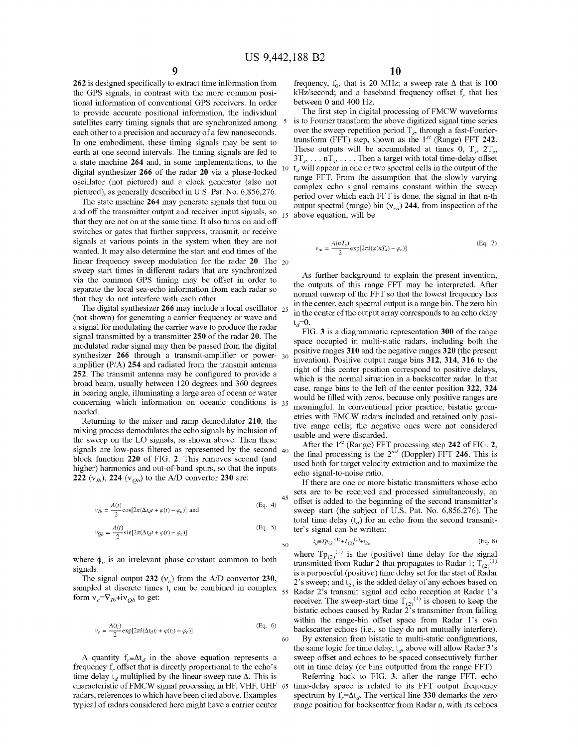**262** is designed specifically to extract time information from the GPS signals, in contrast with the more common positional information of conventional GPS receivers. In order to provide accurate positional information, the individual satellites carry timing signals that are synchronized among each other to a precision and accuracy of a few nanoseconds. In one embodiment, these timing signals may be sent to earth at one second intervals. The timing signals are fed to a state machine **264** and, in some implementations, to the digital synthesizer **266** of the radar **20** via a phase-locked oscillator (not pictured) and a clock generator (also not pictured), as generally described in U.S. Pat. No. 6,856,276.

and off the transmitter output and receiver input signals, so that they are not on at the same time. It also turns on and off switches or gates that further suppress, transmit, or receive signals at various points in the system when they are not wanted. It may also determine the start and end times of the linear frequency sweep modulation for the radar 20. The <sub>20</sub> sweep start times in different radars that are synchronized via the common GPS timing may be offset in order to separate the local sea-echo information from each radar so that they do not interfere with each other.

The digital synthesizer **266** may include a local oscillator 25 (not shown) for generating a carrier frequency or wave and a signal for modulating the carrier wave to produce the radar signal transmitted by a transmitter **250** of the radar **20.** The modulated radar signal may then be passed from the digital synthesizer **266** through a transmit-amplifier or power- 30 amplifier (P/A) **254** and radiated from the transmit antenna **252.** The transmit antenna may be configured to provide a broad beam, usually between 120 degrees and 360 degrees case, range bins to the left of the center position **322, 324** in bearing angle, illuminating a large area of ocean or water concerning which information on oceanic conditions is 35 needed.

Returning to the mixer and ramp demodulator **210,** the mixing process demodulates the echo signals by inclusion of the sweep on the LO signals, as shown above. Then these signals are low-pass filtered as represented by the second 40 block function **220** of FIG. **2.** This removes second (and higher) harmonics and out-of-band spurs, so that the inputs **222**  $(v_{1b})$ , **224**  $(v_{0b})$  to the A/D convertor **230** are:

$$
v_{lb} = \frac{A(t)}{2} \cos[2\pi(\Delta t_d t + \varphi(t) - \varphi_c)]
$$
 and (Eq. 4)

$$
v_{Qb} = \frac{A(t)}{2} \sin[2\pi(\Delta t_d t + \varphi(t) - \varphi_c)] \tag{Eq. 5}
$$

where  $\phi_c$  is an irrelevant phase constant common to both signals.

The signal output 232  $(v_c)$  from the *A/D* convertor 230, sampled at discrete times  $t_i$  can be combined in complex  $_{55}$ form  $v_c = \nabla_{Ib} + i\nu_{Ob}$  to get:

$$
v_c = \frac{A(t_i)}{2} \exp[2\pi i(\Delta t_d t_i + \varphi(t_i) - \varphi_c)]
$$
 (Eq. 6)

A quantity  $f_{\nu} = \Delta t_d$  in the above equation represents a frequency f<sub>r</sub> offset that is directly proportional to the echo's time delay  $t_d$  multiplied by the linear sweep rate  $\Delta$ . This is characteristic ofFMCW signal processing in HF, VHF, UHF radars, references to which have been cited above. Examples typical of radars considered here might have a carrier center

frequency,  $f_0$ , that is 20 MHz; a sweep rate  $\Delta$  that is 100 kHz/second; and a baseband frequency offset  $f_r$  that lies between 0 and 400 Hz.

The first step in digital processing of FMCW waveforms is to Fourier transform the above digitized signal time series over the sweep repetition period  $T_s$ , through a fast-Fouriertransform (FFT) step, shown as the  $1^{st}$  (Range) FFT 242. These outputs will be accumulated at times 0,  $T_s$ ,  $2T_s$ ,  $3T_s$ , ...  $nT_s$ , .... Then a target with total time-delay offset 10  $t_d$  will appear in one or two spectral cells in the output of the range FFT. From the assumption that the slowly varying complex echo signal remains constant within the sweep period over which each FFT is done, the signal in that n-th The state machine 264 may generate signals that turn on output spectral (range) bin  $(v_m)$  244, from inspection of the above equation, will be

$$
v_m = \frac{A(nT_s)}{2} \exp[2\pi i(\varphi(nT_s) - \varphi_c)] \tag{Eq. 7}
$$

As further background to explain the present invention, the outputs of this range FFT may be interpreted. After normal unwrap of the FFT so that the lowest frequency lies in the center, each spectral output is a range bin. The zero bin in the center of the output array corresponds to an echo delay  $t_d=0$ .

FIG. 3 is a diagrammatic representation **300** of the range space occupied in multi-static radars, including both the positive ranges **310** and the negative ranges **320** (the present invention). Positive output range bins **312, 314, 316** to the right of this center position correspond to positive delays, which is the normal situation in a backscatter radar. In that would be filled with zeros, because only positive ranges are meaningful. In conventional prior practice, bistatic geometries with FMCW radars included and retained only positive range cells; the negative ones were not considered usable and were discarded.

After the  $1^{st}$  (Range) FFT processing step 242 of FIG. 2, the final processing is the  $2^{nd}$  (Doppler) FFT 246. This is used both for target velocity extraction and to maximize the echo signal-to-noise ratio.

If there are one or more bistatic transmitters whose echo sets are to be received and processed simultaneously, an sets are to be received and processed simultaneously, an 45 offset is added to the beginning of the second transmitter's sweep start (the subject of U.S. Pat. No. 6,856,276). The total time delay  $(t_d)$  for an echo from the second transmitter's signal can be written:

$$
t_d \equiv T p_{(2)}^{(1)} + T_{(2)}^{(1)} + t_{2e}
$$
 (Eq. 8)

where  $Tp_{(2)}^{(1)}$  is the (positive) time delay for the signal transmitted from Radar 2 that propagates to Radar 1;  $T_{(2)}^{(1)}$ is a purposeful (positive) time delay set for the start of Radar 2's sweep; and  $t_{2e}$  is the added delay of any echoes based on 55 Radar 2's transmit signal and echo reception at Radar l's receiver. The sweep-start time  $T_{(2)}^{(1)}$  is chosen to keep the bistatic echoes caused by Radar 2's transmitter from falling within the range-bin offset space from Radar l's own backscatter echoes (i.e., so they do not mutually interfere). 60 By extension from bistatic to multi-static configurations, the same logic for time delay,  $t_d$ , above will allow Radar 3's sweep offset and echoes to be spaced consecutively further out in time delay (or bins outputted from the range FFT).

Referring back to FIG. 3, after the range FFT, echo time-delay space is related to its FFT output frequency spectrum by  $f_r = \Delta t_d$ . The vertical line **330** demarks the zero range position for backscatter from Radar n, with its echoes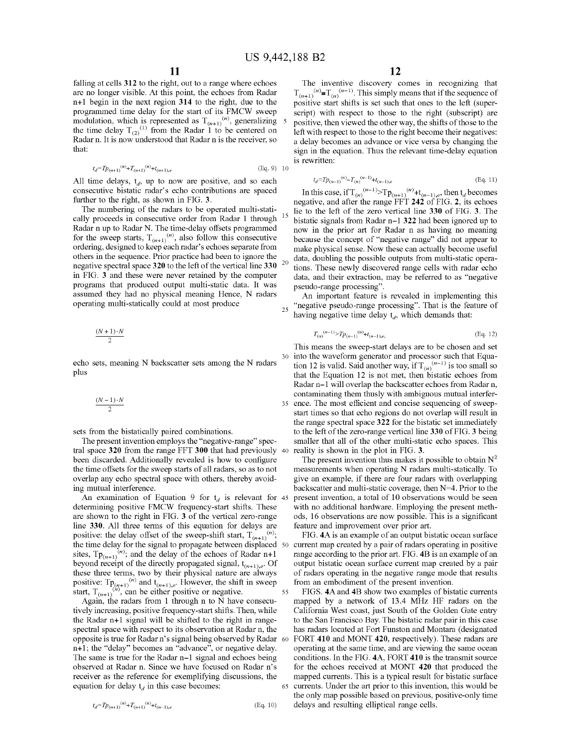falling at cells 312 to the right, out to a range where echoes are no longer visible. At this point, the echoes from Radar n+l begin in the next region 314 to the right, due to the programmed time delay for the start of its FMCW sweep modulation, which is represented as  $T_{(n+1)}^{(n)}$ , generalizing 5 the time delay  $T_{(2)}^{(1)}$  from the Radar 1 to be centered on Radar n. It is now understood that Radar n is the receiver, so that:

$$
t_d = T p_{(n+1)}^{(n)} + T_{(n+1)}^{(n)} + t_{(n+1),e}
$$
 (Eq. 9) 10

All time delays,  $t_d$ , up to now are positive, and so each consecutive bistatic radar's echo contributions are spaced further to the right, as shown in FIG. 3.

The numbering of the radars to be operated multi-statically proceeds in consecutive order from Radar 1 through Radar n up to Radar N. The time-delay offsets programmed for the sweep starts,  $T_{(n+1)}^{(n)}$ , also follow this consecutive ordering, designed to keep each radar's echoes separate from others in the sequence. Prior practice had been to ignore the negative spectral space  $320$  to the left of the vertical line  $330^{-20}$ in FIG. 3 and these were never retained by the computer programs that produced output multi-static data. It was assumed they had no physical meaning Hence, N radars operating multi-statically could at most produce

$$
\frac{(N+1)\cdot N}{2}
$$

echo sets, meaning N backscatter sets among the N radars plus

$$
\frac{(N-1)\cdot N}{2}
$$

sets from the bistatically paired combinations.

The present invention employs the "negative-range" spectral space 320 from the range FFT 300 that had previously 40 been discarded. Additionally revealed is how to configure the time offsets for the sweep starts of all radars, so as to not overlap any echo spectral space with others, thereby avoiding mutual interference.

An examination of Equation 9 for  $t_d$  is relevant for 45 determining positive FMCW frequency-start shifts. These are shown to the right in FIG. 3 of the vertical zero-range line 330. All three terms of this equation for delays are positive: the delay offset of the sweep-shift start,  $T_{(n+1)}^{(n)}$ ; the time delay for the signal to propagate between displaced 50 sites,  $Tp_{(n+1)}^{(n)}$ ; and the delay of the echoes of Radar n+1 beyond receipt of the directly propagated signal,  $t_{(n+1),e}$ . Of these three terms, two by their physical nature are always positive:  $\text{Tp}_{(n+1)}^{(n)}$  and  $\text{t}_{(n+1),e}$ . However, the shift in sweep start,  $T_{(n+1)}^{(n)}$ , can be either positive or negative.

Again, the radars from 1 through n to N have consecutively increasing, positive frequency-start shifts. Then, while the Radar n+l signal will be shifted to the right in rangespectral space with respect to its observation at Radar n, the opposite is true for Radar n's signal being observed by Radar n+l; the "delay" becomes an "advance", or negative delay. The same is true for the Radar n-1 signal and echoes being observed at Radar n. Since we have focused on Radar n's receiver as the reference for exemplifying discussions, the equation for delay  $t_d$  in this case becomes:

The inventive discovery comes in recognizing that  $T_{(n+1)}^{(n)} = T_{(n)}^{(n-1)}$ . This simply means that if the sequence of positive start shifts is set such that ones to the left (superscript) with respect to those to the right (subscript) are positive, then viewed the other way, the shifts of those to the left with respect to those to the right become their negatives: a delay becomes an advance or vice versa by changing the sign in the equation. Thus the relevant time-delay equation is rewritten:

$$
t_d = T p_{(n-1)}^{(n)} - T_{(n)}^{(n-1)} + t_{(n-1),e}
$$
 (Eq. 11)

In this case, if  $T_{(n)}^{(n-1)}$   $\sum_{n=1}^{\infty} T_{(n+1)}^{(n)} + t_{(n-1),e}$ , then  $t_d$  becomes negative, and after the range FFT 242 of FIG. 2, its echoes lie to the left of the zero vertical line 330 of FIG. 3. The bistatic signals from Radar n-1 322 had been ignored up to now in the prior art for Radar n as having no meaning because the concept of "negative range" did not appear to make physical sense. Now these can actually become useful data, doubling the possible outputs from multi-static operations. These newly discovered range cells with radar echo data, and their extraction, may be referred to as "negative pseudo-range processing".

An important feature is revealed in implementing this <sub>25</sub> "negative pseudo-range processing". That is the feature of having negative time delay  $t_d$ , which demands that:

$$
T_{(n)}^{(n-1)} > T p_{(n-1)}^{(n)} + t_{(n-1),e},\tag{Eq. 12}
$$

This means the sweep-start delays are to be chosen and set 30 into the waveform generator and processor such that Equation 12 is valid. Said another way, if  $T_{(n)}^{(n-1)}$  is too small so that the Equation 12 is not met, then bistatic echoes from Radar n-1 will overlap the backscatter echoes from Radar n, contaminating them thusly with ambiguous mutual interfer-35 ence. The most efficient and concise sequencing of sweepstart times so that echo regions do not overlap will result in the range spectral space 322 for the bistatic set immediately to the left of the zero-range vertical line 330 of FIG. 3 being smaller that all of the other multi-static echo spaces. This reality is shown in the plot in FIG. 3.

The present invention thus makes it possible to obtain  $N^2$ measurements when operating N radars multi-statically. To give an example, if there are four radars with overlapping backscatter and multi-static coverage, then N=4. Prior to the present invention, a total of 10 observations would be seen with no additional hardware. Employing the present methods, 16 observations are now possible. This is a significant feature and improvement over prior art.

FIG. 4A is an example of an output bistatic ocean surface current map created by a pair of radars operating in positive range according to the prior art. FIG. 4B is an example of an output bistatic ocean surface current map created by a pair of radars operating in the negative range mode that results from an embodiment of the present invention.

55 FIGS. 4A and 4B show two examples of bistatic currents mapped by a network of 13.4 MHz HF radars on the California West coast, just South of the Golden Gate entry to the San Francisco Bay. The bistatic radar pair in this case has radars located at Fort Funston and Montara (designated FORT 410 and MONT 420, respectively). These radars are operating at the same time, and are viewing the same ocean conditions. In the FIG. 4A, FORT 410 is the transmit source for the echoes received at MONT 420 that produced the mapped currents. This is a typical result for bistatic surface 65 currents. Under the art prior to this invention, this would be the only map possible based on previous, positive-only time delays and resulting elliptical range cells.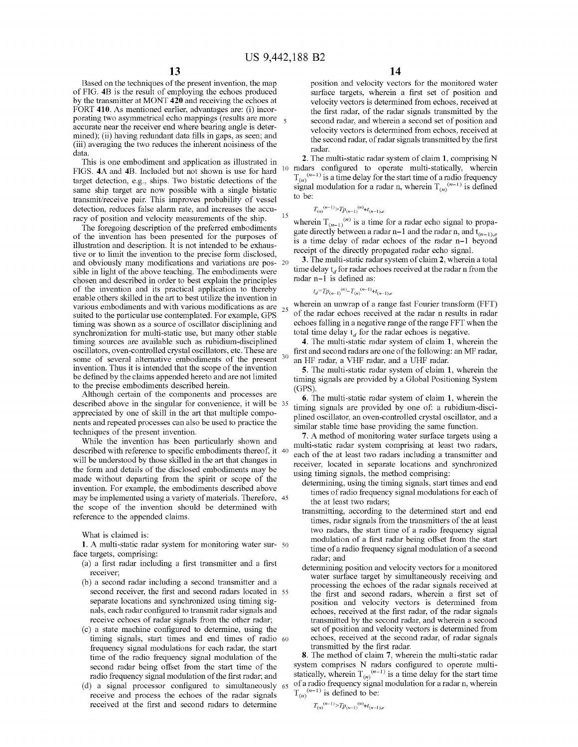Based on the techniques of the present invention, the map of FIG. **4B** is the result of employing the echoes produced by the transmitter at MONT **420** and receiving the echoes at FORT **410.** As mentioned earlier, advantages are: (i) incorporating two asymmetrical echo mappings (results are more accurate near the receiver end where bearing angle is determined); (ii) having redundant data fills in gaps, as seen; and (iii) averaging the two reduces the inherent noisiness of the data.

This is one embodiment and application as illustrated in FIGS. 4A and 4B. Included but not shown is use for hard target detection, e.g., ships. Two bistatic detections of the same ship target are now possible with a single bistatic transmit/receive pair. This improves probability of vessel detection, reduces false alarm rate, and increases the accuracy of position and velocity measurements of the ship. <sup>15</sup>

The foregoing description of the preferred embodiments of the invention has been presented for the purposes of illustration and description. It is not intended to be exhaustive or to limit the invention to the precise form disclosed, and obviously many modifications and variations are pos- 20 sible in light of the above teaching. The embodiments were chosen and described in order to best explain the principles of the invention and its practical application to thereby enable others skilled in the art to best utilize the invention in various embodiments and with various modifications as are suited to the particular use contemplated. For example, GPS timing was shown as a source of oscillator disciplining and synchronization for multi-static use, but many other stable timing sources are available such as rubidium-disciplined oscillators, oven-controlled crystal oscillators, etc. These are some of several alternative embodiments of the present <sup>30</sup> invention. Thus it is intended that the scope of the invention be defined by the claims appended hereto and are not limited to the precise embodiments described herein.

Although certain of the components and processes are described above in the singular for convenience, it will be 35 appreciated by one of skill in the art that multiple components and repeated processes can also be used to practice the techniques of the present invention.

While the invention has been particularly shown and described with reference to specific embodiments thereof, it 40 will be understood by those skilled in the art that changes in the form and details of the disclosed embodiments may be made without departing from the spirit or scope of the invention. For example, the embodiments described above may be implemented using a variety of materials. Therefore, 45 the scope of the invention should be determined with reference to the appended claims.

What is claimed is:

**1.** A multi-static radar system for monitoring water sur- 50 face targets, comprising:

- (a) a first radar including a first transmitter and a first receiver;
- (b) a second radar including a second transmitter and a second receiver, the first and second radars located in 55 separate locations and synchronized using timing signals, each radar configured to transmit radar signals and receive echoes of radar signals from the other radar;
- ( c) a state machine configured to determine, using the timing signals, start times and end times of radio 60 frequency signal modulations for each radar, the start time of the radio frequency signal modulation of the second radar being offset from the start time of the radio frequency signal modulation of the first radar; and
- (d) a signal processor configured to simultaneously  $65$ receive and process the echoes of the radar signals received at the first and second radars to determine  $T_{(n)}^{(n-1)} \ge T_{p(n-1)}^{(n)} + t_{(n-1),e}$

position and velocity vectors for the monitored water surface targets, wherein a first set of position and velocity vectors is determined from echoes, received at the first radar, of the radar signals transmitted by the second radar, and wherein a second set of position and velocity vectors is determined from echoes, received at the second radar, of radar signals transmitted by the first radar.

**2.** The multi-static radar system of claim **1,** comprising N 10 radars configured to operate multi-statically, wherein  $T_{(n)}^{(n-1)}$  is a time delay for the start time of a radio frequency signal modulation for a radar n, wherein  $T_{(n)}^{(n-1)}$  is defined to be:

$$
T_{(n)}^{(n-1)} > T p_{(n-1)}^{(n)} + t_{(n-1),e}
$$

wherein  $T_{(n-1)}^{(n)}$  is a time for a radar echo signal to propagate directly between a radar n–1 and the radar n, and  $t_{(n-1),e}$ is a time delay of radar echoes of the radar n-1 beyond receipt of the directly propagated radar echo signal.

**3.** The multi-static radar system of claim **2,** wherein a total time delay  $t_d$  for radar echoes received at the radar n from the radar n-1 is defined as:

 $t_d = T p_{(n-1)}^{(n)} - T_{(n)}^{(n-1)} + t_{(n-1),e}$ 

wherein an unwrap of a range fast Fourier transform (FFT) of the radar echoes received at the radar n results in radar echoes falling in a negative range of the range FFT when the total time delay  $t_d$  for the radar echoes is negative.

**4.** The multi-static radar system of claim **1,** wherein the first and second radars are one of the following: an MF radar, an HF radar, a VHF radar, and a UHF radar.

**5.** The multi-static radar system of claim **1,** wherein the timing signals are provided by a Global Positioning System  $(GPS)$ 

**6.** The multi-static radar system of claim **1,** wherein the timing signals are provided by one of: a rubidium-disciplined oscillator, an oven-controlled crystal oscillator, and a similar stable time base providing the same function.

**7.** A method of monitoring water surface targets using a multi-static radar system comprising at least two radars, each of the at least two radars including a transmitter and receiver, located in separate locations and synchronized using timing signals, the method comprising:

- determining, using the timing signals, start times and end times of radio frequency signal modulations for each of the at least two radars;
- transmitting, according to the determined start and end times, radar signals from the transmitters of the at least two radars, the start time of a radio frequency signal modulation of a first radar being offset from the start time of a radio frequency signal modulation of a second radar; and
- determining position and velocity vectors for a monitored water surface target by simultaneously receiving and processing the echoes of the radar signals received at the first and second radars, wherein a first set of position and velocity vectors is determined from echoes, received at the first radar, of the radar signals transmitted by the second radar, and wherein a second set of position and velocity vectors is determined from echoes, received at the second radar, of radar signals transmitted by the first radar.

**8.** The method of claim **7,** wherein the multi-static radar system comprises N radars configured to operate multistatically, wherein  $T_{(n)}^{(n-1)}$  is a time delay for the start time 65 of a radio frequency signal modulation for a radar n, wherein  $T_{(n)}^{(n-1)}$  is defined to be: